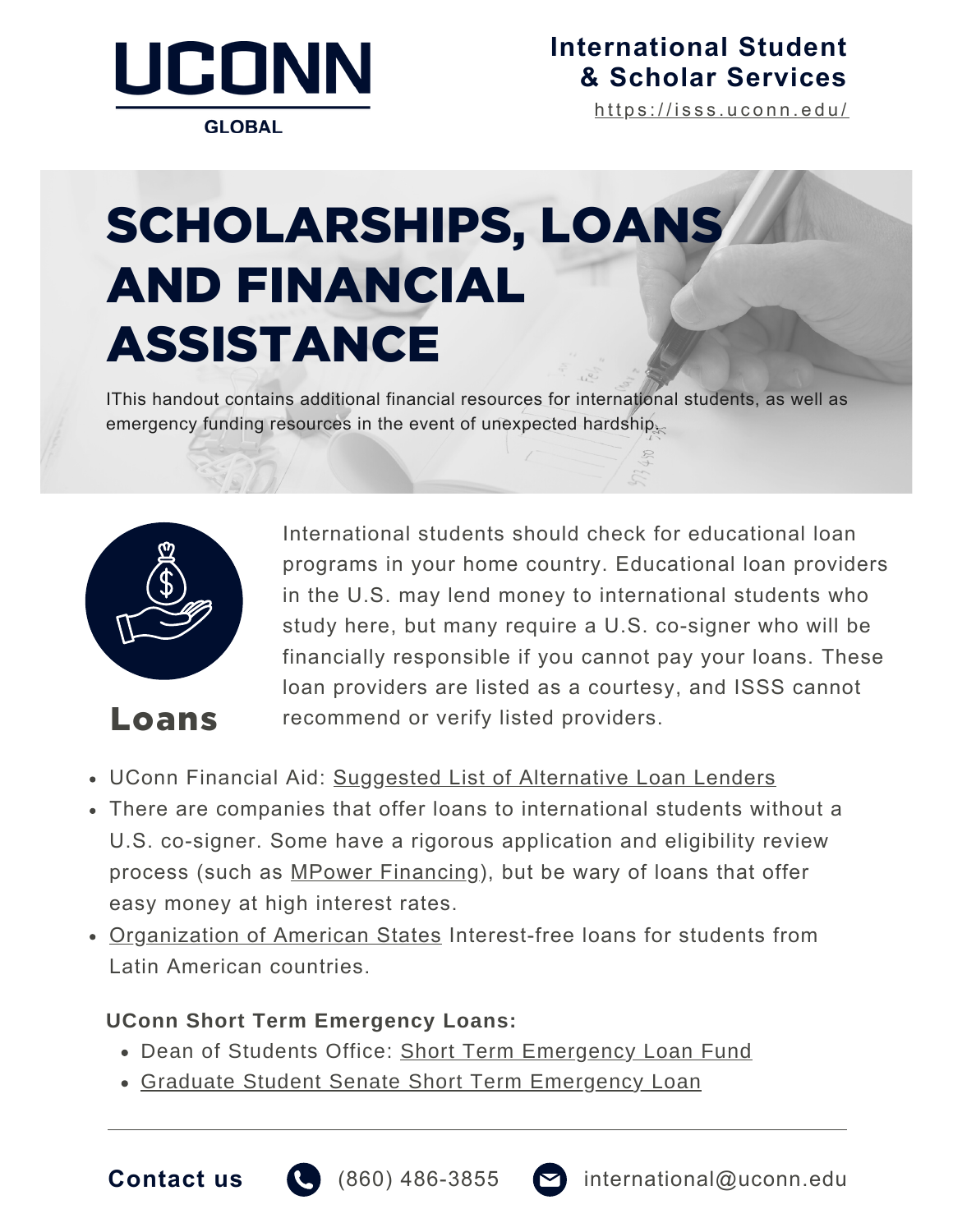

**GLOBAL** 

### **[International](https://isss.uconn.edu/) Student & Scholar Services**

[h](https://isss.uconn.edu/)ttps://isss.uconn.edu/

# SCHOLARSHIPS, LOANS AND FINANCIAL ASSISTANCE

IThis handout contains additional financial resources for international students, as well as emergency funding resources in the event of unexpected hardship.



International students should check for educational loan programs in your home country. Educational loan providers in the U.S. may lend money to international students who study here, but many require a U.S. co-signer who will be financially responsible if you cannot pay your loans. These loan providers are listed as a courtesy, and ISSS cannot Loans recommend or verify listed providers.

- UConn Financial Aid: [Suggest](https://financialaid.uconn.edu/altloan/)ed [List](https://financialaid.uconn.edu/altloan/) of [Alternative](https://financialaid.uconn.edu/altloan/) Loan Lenders
- There are companies that offer loans to international students without a U.S. co-signer. Some have a rigorous application and eligibility review process (such as MPower [Financing](https://www.mpowerfinancing.com/)), but be wary of loans that offer easy money at high interest rates.
- [Organization](http://www.oas.org/rowe) of American States Interest-free loans for students from Latin American countries.

#### **UConn Short Term Emergency Loans:**

- Dean of Students Office: Short Term [Emergency](https://dos.uconn.edu/short-term-loans/) Loan Fund
- Graduate Student Senate Short Term [Emergency](https://gss.uconn.edu/short-term-loans/) Loan